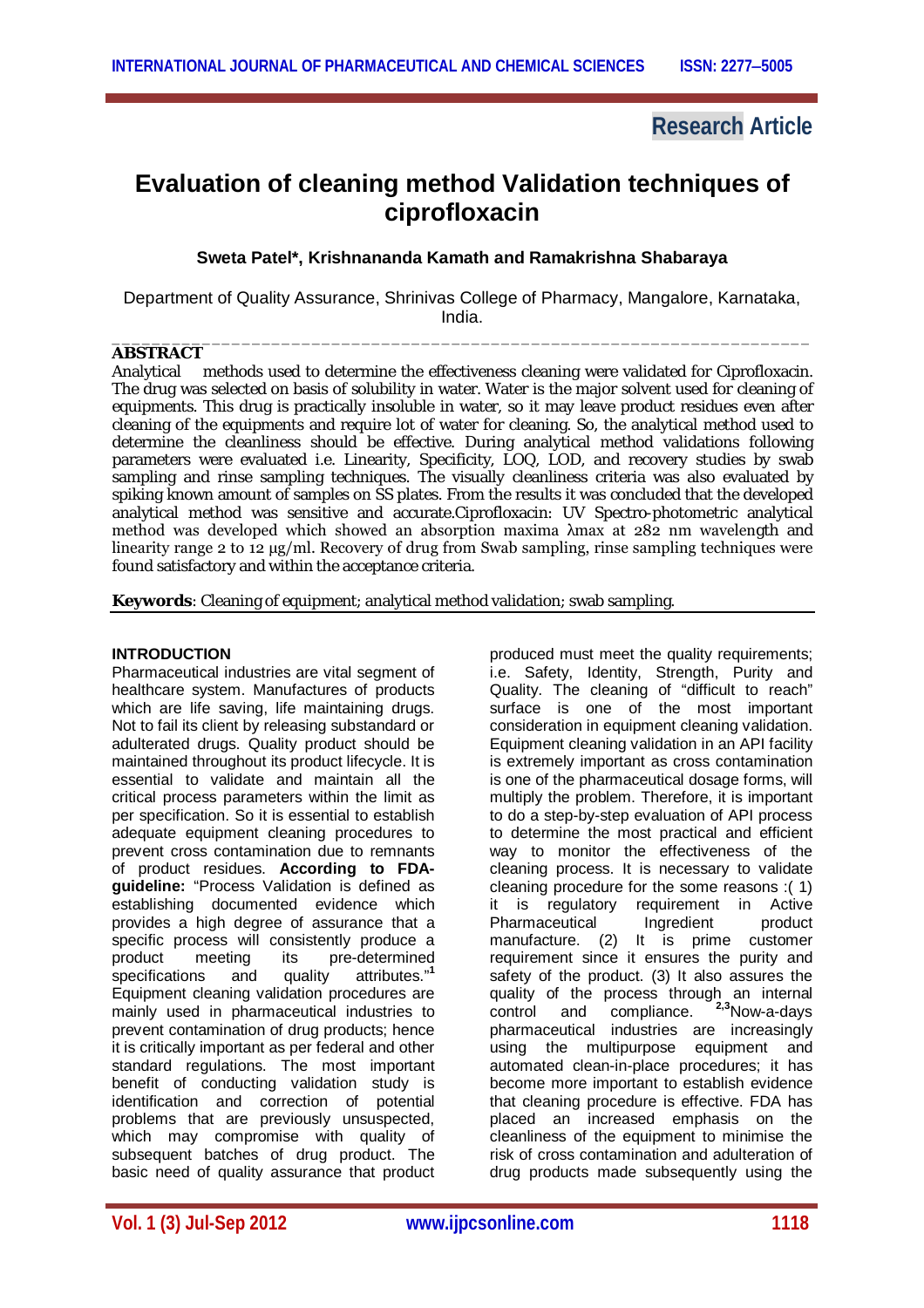# **Research Article**

# **Evaluation of cleaning method Validation techniques of ciprofloxacin**

## **Sweta Patel\*, Krishnananda Kamath and Ramakrishna Shabaraya**

Department of Quality Assurance, Shrinivas College of Pharmacy, Mangalore, Karnataka, India. \_\_\_\_\_\_\_\_\_\_\_\_\_\_\_\_\_\_\_\_\_\_\_\_\_\_\_\_\_\_\_\_\_\_\_\_\_\_\_\_\_\_\_\_\_\_\_\_\_\_\_\_\_\_\_\_\_\_\_\_\_\_\_\_\_\_\_\_\_\_

## **ABSTRACT**

Analytical methods used to determine the effectiveness cleaning were validated for Ciprofloxacin. The drug was selected on basis of solubility in water. Water is the major solvent used for cleaning of equipments. This drug is practically insoluble in water, so it may leave product residues even after cleaning of the equipments and require lot of water for cleaning. So, the analytical method used to determine the cleanliness should be effective. During analytical method validations following parameters were evaluated i.e. Linearity, Specificity, LOQ, LOD, and recovery studies by swab sampling and rinse sampling techniques. The visually cleanliness criteria was also evaluated by spiking known amount of samples on SS plates. From the results it was concluded that the developed analytical method was sensitive and accurate.Ciprofloxacin: UV Spectro-photometric analytical method was developed which showed an absorption maxima λmax at 282 nm wavelength and linearity range 2 to 12 μg/ml. Recovery of drug from Swab sampling, rinse sampling techniques were found satisfactory and within the acceptance criteria.

**Keywords**: Cleaning of equipment; analytical method validation; swab sampling.

## **INTRODUCTION**

Pharmaceutical industries are vital segment of healthcare system. Manufactures of products which are life saving, life maintaining drugs. Not to fail its client by releasing substandard or adulterated drugs. Quality product should be maintained throughout its product lifecycle. It is essential to validate and maintain all the critical process parameters within the limit as per specification. So it is essential to establish adequate equipment cleaning procedures to prevent cross contamination due to remnants of product residues. **According to FDAguideline:** "Process Validation is defined as establishing documented evidence which provides a high degree of assurance that a specific process will consistently produce a product meeting its pre-determined<br>specifications and quality attributes." specifications and quality attributes."**<sup>1</sup>** Equipment cleaning validation procedures are mainly used in pharmaceutical industries to prevent contamination of drug products; hence it is critically important as per federal and other standard regulations. The most important benefit of conducting validation study is identification and correction of potential problems that are previously unsuspected, which may compromise with quality of subsequent batches of drug product. The basic need of quality assurance that product

produced must meet the quality requirements; i.e. Safety, Identity, Strength, Purity and Quality. The cleaning of "difficult to reach" surface is one of the most important consideration in equipment cleaning validation. Equipment cleaning validation in an API facility is extremely important as cross contamination is one of the pharmaceutical dosage forms, will multiply the problem. Therefore, it is important to do a step-by-step evaluation of API process to determine the most practical and efficient way to monitor the effectiveness of the cleaning process. It is necessary to validate cleaning procedure for the some reasons :( 1) it is regulatory requirement in Active<br>Pharmaceutical lngredient product Pharmaceutical Ingredient manufacture. (2) It is prime customer requirement since it ensures the purity and safety of the product. (3) It also assures the quality of the process through an internal control and compliance. **2,3**Now-a-days pharmaceutical industries are increasingly using the multipurpose equipment and automated clean-in-place procedures; it has become more important to establish evidence that cleaning procedure is effective. FDA has placed an increased emphasis on the cleanliness of the equipment to minimise the risk of cross contamination and adulteration of drug products made subsequently using the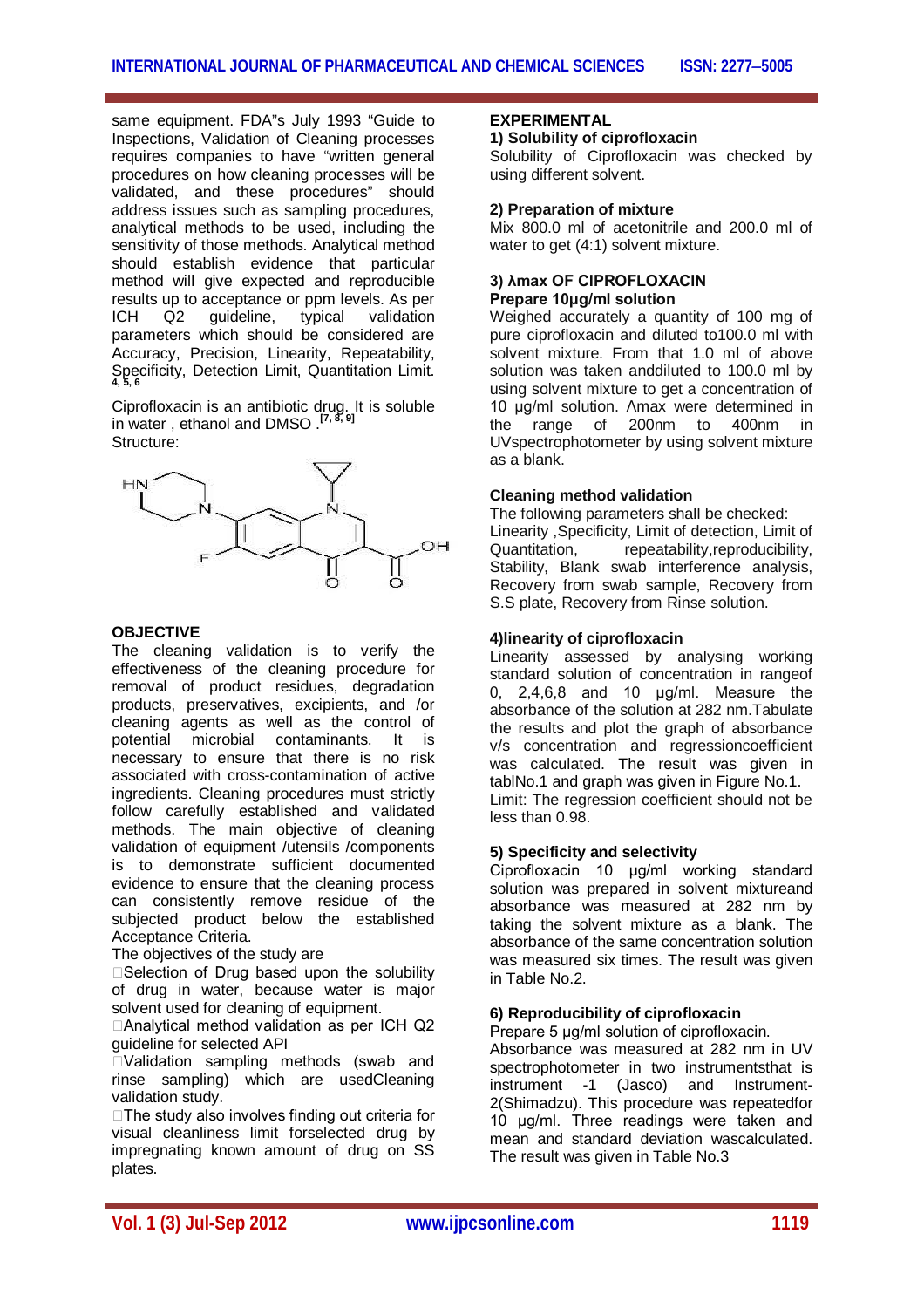same equipment. FDA"s July 1993 "Guide to Inspections, Validation of Cleaning processes requires companies to have "written general procedures on how cleaning processes will be validated, and these procedures" should address issues such as sampling procedures, analytical methods to be used, including the sensitivity of those methods. Analytical method should establish evidence that particular method will give expected and reproducible results up to acceptance or ppm levels. As per ICH Q2 guideline, typical validation parameters which should be considered are Accuracy, Precision, Linearity, Repeatability, Specificity, Detection Limit, Quantitation Limit. **4, 5, 6**

Ciprofloxacin is an antibiotic drug. It is soluble in water , ethanol and DMSO .**[7, 8, 9]** Structure:



#### **OBJECTIVE**

The cleaning validation is to verify the effectiveness of the cleaning procedure for removal of product residues, degradation products, preservatives, excipients, and /or cleaning agents as well as the control of potential microbial contaminants. It is necessary to ensure that there is no risk associated with cross-contamination of active ingredients. Cleaning procedures must strictly follow carefully established and validated methods. The main objective of cleaning validation of equipment /utensils /components is to demonstrate sufficient documented evidence to ensure that the cleaning process can consistently remove residue of the subjected product below the established Acceptance Criteria.

The objectives of the study are

 $\square$  Selection of Drug based upon the solubility of drug in water, because water is major solvent used for cleaning of equipment.

□Analytical method validation as per ICH Q2 guideline for selected API

Validation sampling methods (swab and rinse sampling) which are usedCleaning validation study.

□The study also involves finding out criteria for visual cleanliness limit forselected drug by impregnating known amount of drug on SS plates.

## **EXPERIMENTAL**

## **1) Solubility of ciprofloxacin**

Solubility of Ciprofloxacin was checked by using different solvent.

#### **2) Preparation of mixture**

Mix 800.0 ml of acetonitrile and 200.0 ml of water to get (4:1) solvent mixture.

#### **3) λmax OF CIPROFLOXACIN Prepare 10μg/ml solution**

Weighed accurately a quantity of 100 mg of pure ciprofloxacin and diluted to100.0 ml with solvent mixture. From that 1.0 ml of above solution was taken anddiluted to 100.0 ml by using solvent mixture to get a concentration of 10 μg/ml solution. Λmax were determined in the range of 200nm to 400nm in UVspectrophotometer by using solvent mixture as a blank.

#### **Cleaning method validation**

The following parameters shall be checked: Linearity ,Specificity, Limit of detection, Limit of Quantitation, repeatability, reproducibility, Stability, Blank swab interference analysis, Recovery from swab sample, Recovery from S.S plate, Recovery from Rinse solution.

## **4)linearity of ciprofloxacin**

Linearity assessed by analysing working standard solution of concentration in rangeof 0, 2,4,6,8 and 10 μg/ml. Measure the absorbance of the solution at 282 nm.Tabulate the results and plot the graph of absorbance v/s concentration and regressioncoefficient was calculated. The result was given in tablNo.1 and graph was given in Figure No.1. Limit: The regression coefficient should not be less than 0.98.

#### **5) Specificity and selectivity**

Ciprofloxacin 10 μg/ml working standard solution was prepared in solvent mixtureand absorbance was measured at 282 nm by taking the solvent mixture as a blank. The absorbance of the same concentration solution was measured six times. The result was given in Table No.2.

#### **6) Reproducibility of ciprofloxacin**

Prepare 5 μg/ml solution of ciprofloxacin.

Absorbance was measured at 282 nm in UV spectrophotometer in two instrumentsthat is instrument -1 (Jasco) and Instrument-2(Shimadzu). This procedure was repeatedfor 10 μg/ml. Three readings were taken and mean and standard deviation wascalculated. The result was given in Table No.3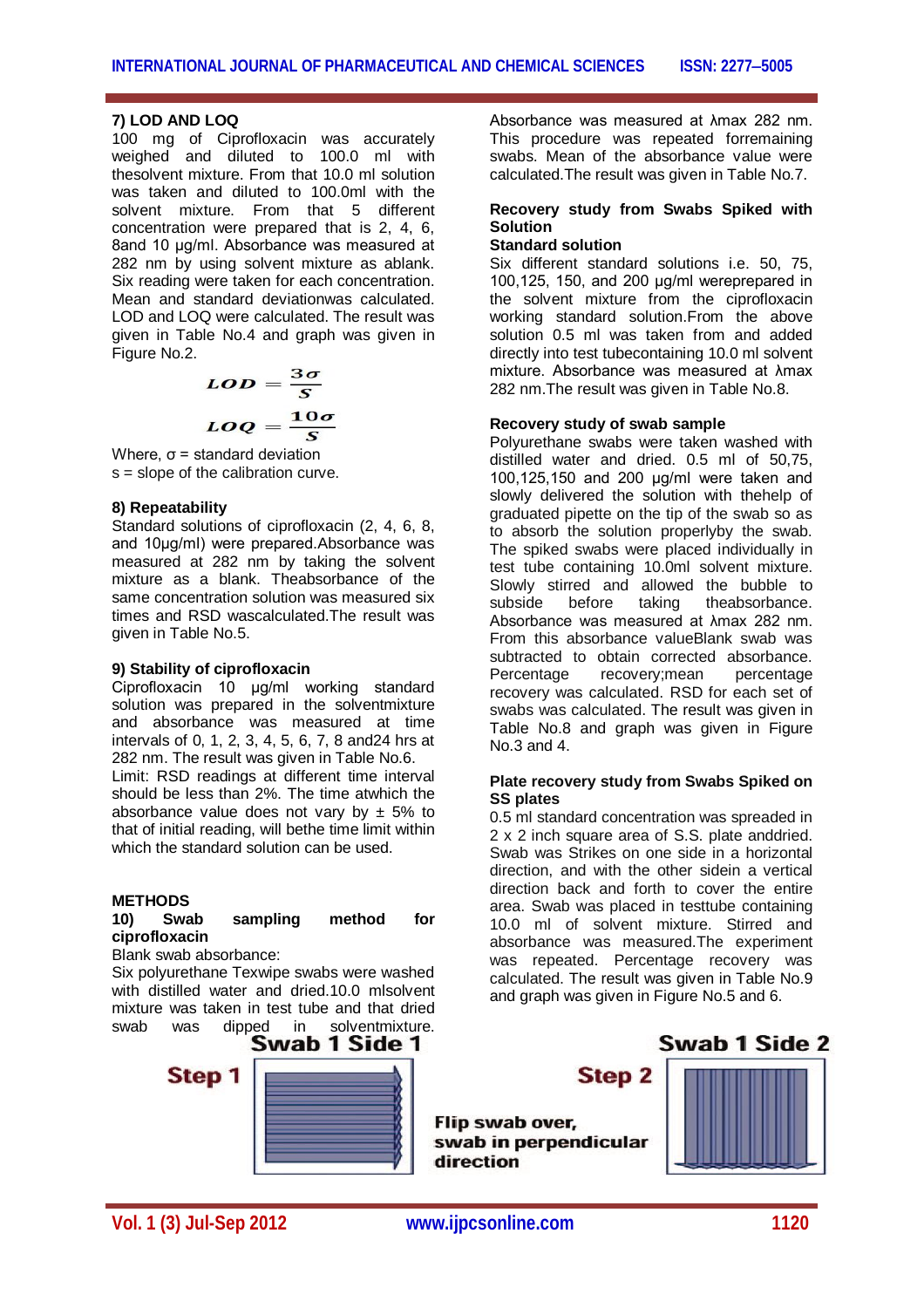## **7) LOD AND LOQ**

100 mg of Ciprofloxacin was accurately weighed and diluted to 100.0 ml with thesolvent mixture. From that 10.0 ml solution was taken and diluted to 100.0ml with the solvent mixture. From that 5 different concentration were prepared that is 2, 4, 6, 8and 10 μg/ml. Absorbance was measured at 282 nm by using solvent mixture as ablank. Six reading were taken for each concentration. Mean and standard deviationwas calculated. LOD and LOQ were calculated. The result was given in Table No.4 and graph was given in Figure No.2.

$$
LOD = \frac{3\sigma}{S}
$$

$$
LOQ = \frac{10\sigma}{S}
$$

Where,  $σ = standard deviation$  $s =$  slope of the calibration curve.

### **8) Repeatability**

Standard solutions of ciprofloxacin (2, 4, 6, 8, and 10μg/ml) were prepared.Absorbance was measured at 282 nm by taking the solvent mixture as a blank. Theabsorbance of the same concentration solution was measured six times and RSD wascalculated.The result was given in Table No.5.

#### **9) Stability of ciprofloxacin**

Ciprofloxacin 10 μg/ml working standard solution was prepared in the solventmixture and absorbance was measured at time intervals of 0, 1, 2, 3, 4, 5, 6, 7, 8 and24 hrs at 282 nm. The result was given in Table No.6. Limit: RSD readings at different time interval should be less than 2%. The time atwhich the absorbance value does not vary by  $\pm$  5% to that of initial reading, will bethe time limit within which the standard solution can be used.

## **METHODS**

#### **10) Swab sampling method for ciprofloxacin**

Blank swab absorbance:

Six polyurethane Texwipe swabs were washed with distilled water and dried.10.0 mlsolvent mixture was taken in test tube and that dried<br>swab was dipped in solventmixture.



Absorbance was measured at λmax 282 nm. This procedure was repeated forremaining swabs. Mean of the absorbance value were calculated.The result was given in Table No.7.

## **Recovery study from Swabs Spiked with Solution**

## **Standard solution**

Six different standard solutions i.e. 50, 75, 100,125, 150, and 200 μg/ml wereprepared in the solvent mixture from the ciprofloxacin working standard solution.From the above solution 0.5 ml was taken from and added directly into test tubecontaining 10.0 ml solvent mixture. Absorbance was measured at λmax 282 nm.The result was given in Table No.8.

#### **Recovery study of swab sample**

Polyurethane swabs were taken washed with distilled water and dried. 0.5 ml of 50,75, 100,125,150 and 200 μg/ml were taken and slowly delivered the solution with thehelp of graduated pipette on the tip of the swab so as to absorb the solution properlyby the swab. The spiked swabs were placed individually in test tube containing 10.0ml solvent mixture. Slowly stirred and allowed the bubble to<br>subside before taking theabsorbance. theabsorbance. Absorbance was measured at λmax 282 nm. From this absorbance valueBlank swab was subtracted to obtain corrected absorbance. Percentage recovery;mean percentage recovery was calculated. RSD for each set of swabs was calculated. The result was given in Table No.8 and graph was given in Figure No.3 and 4.

#### **Plate recovery study from Swabs Spiked on SS plates**

0.5 ml standard concentration was spreaded in 2 x 2 inch square area of S.S. plate anddried. Swab was Strikes on one side in a horizontal direction, and with the other sidein a vertical direction back and forth to cover the entire area. Swab was placed in testtube containing 10.0 ml of solvent mixture. Stirred and absorbance was measured.The experiment was repeated. Percentage recovery was calculated. The result was given in Table No.9 and graph was given in Figure No.5 and 6.

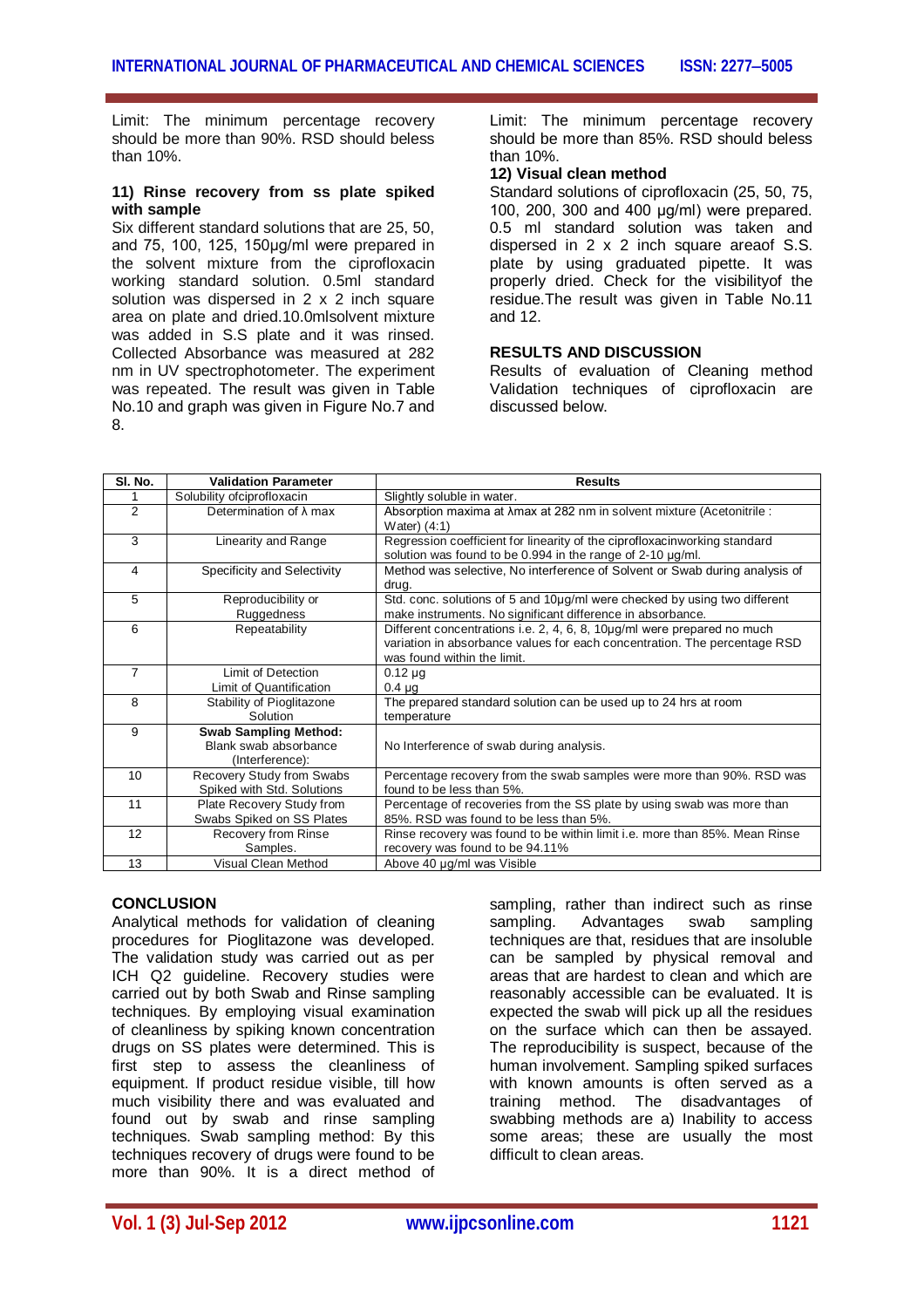Limit: The minimum percentage recovery should be more than 90%. RSD should beless than 10%.

#### **11) Rinse recovery from ss plate spiked with sample**

Six different standard solutions that are 25, 50, and 75, 100, 125, 150μg/ml were prepared in the solvent mixture from the ciprofloxacin working standard solution. 0.5ml standard solution was dispersed in 2 x 2 inch square area on plate and dried.10.0mlsolvent mixture was added in S.S plate and it was rinsed. Collected Absorbance was measured at 282 nm in UV spectrophotometer. The experiment was repeated. The result was given in Table No.10 and graph was given in Figure No.7 and 8.

Limit: The minimum percentage recovery should be more than 85%. RSD should beless than 10%.

#### **12) Visual clean method**

Standard solutions of ciprofloxacin (25, 50, 75, 100, 200, 300 and 400 μg/ml) were prepared. 0.5 ml standard solution was taken and dispersed in 2 x 2 inch square areaof S.S. plate by using graduated pipette. It was properly dried. Check for the visibilityof the residue.The result was given in Table No.11 and 12.

## **RESULTS AND DISCUSSION**

Results of evaluation of Cleaning method Validation techniques of ciprofloxacin are discussed below.

| SI. No.        | <b>Validation Parameter</b>                                              | <b>Results</b>                                                                                                                                                                      |
|----------------|--------------------------------------------------------------------------|-------------------------------------------------------------------------------------------------------------------------------------------------------------------------------------|
|                | Solubility of ciprofloxacin                                              | Slightly soluble in water.                                                                                                                                                          |
| $\overline{2}$ | Determination of $\lambda$ max                                           | Absorption maxima at $\lambda$ max at 282 nm in solvent mixture (Acetonitrile :<br>Water $(4:1)$                                                                                    |
| 3              | Linearity and Range                                                      | Regression coefficient for linearity of the ciprofloxacinworking standard<br>solution was found to be 0.994 in the range of 2-10 µg/ml.                                             |
| 4              | Specificity and Selectivity                                              | Method was selective, No interference of Solvent or Swab during analysis of<br>drug.                                                                                                |
| 5              | Reproducibility or<br>Ruggedness                                         | Std. conc. solutions of 5 and 10µg/ml were checked by using two different<br>make instruments. No significant difference in absorbance.                                             |
| 6              | Repeatability                                                            | Different concentrations i.e. 2, 4, 6, 8, 10µg/ml were prepared no much<br>variation in absorbance values for each concentration. The percentage RSD<br>was found within the limit. |
| 7              | Limit of Detection<br>Limit of Quantification                            | $0.12 \mu$ g<br>$0.4 \mu g$                                                                                                                                                         |
| 8              | Stability of Pioglitazone<br>Solution                                    | The prepared standard solution can be used up to 24 hrs at room<br>temperature                                                                                                      |
| 9              | <b>Swab Sampling Method:</b><br>Blank swab absorbance<br>(Interference): | No Interference of swab during analysis.                                                                                                                                            |
| 10             | Recovery Study from Swabs<br>Spiked with Std. Solutions                  | Percentage recovery from the swab samples were more than 90%. RSD was<br>found to be less than 5%.                                                                                  |
| 11             | Plate Recovery Study from<br>Swabs Spiked on SS Plates                   | Percentage of recoveries from the SS plate by using swab was more than<br>85%. RSD was found to be less than 5%.                                                                    |
| 12             | Recovery from Rinse<br>Samples.                                          | Rinse recovery was found to be within limit i.e. more than 85%. Mean Rinse<br>recovery was found to be 94.11%                                                                       |
| 13             | Visual Clean Method                                                      | Above 40 µg/ml was Visible                                                                                                                                                          |

## **CONCLUSION**

Analytical methods for validation of cleaning procedures for Pioglitazone was developed. The validation study was carried out as per ICH Q2 guideline. Recovery studies were carried out by both Swab and Rinse sampling techniques. By employing visual examination of cleanliness by spiking known concentration drugs on SS plates were determined. This is first step to assess the cleanliness of equipment. If product residue visible, till how much visibility there and was evaluated and found out by swab and rinse sampling techniques. Swab sampling method: By this techniques recovery of drugs were found to be more than 90%. It is a direct method of

sampling, rather than indirect such as rinse sampling. Advantages swab sampling techniques are that, residues that are insoluble can be sampled by physical removal and areas that are hardest to clean and which are reasonably accessible can be evaluated. It is expected the swab will pick up all the residues on the surface which can then be assayed. The reproducibility is suspect, because of the human involvement. Sampling spiked surfaces with known amounts is often served as a training method. The disadvantages of swabbing methods are a) Inability to access some areas; these are usually the most difficult to clean areas.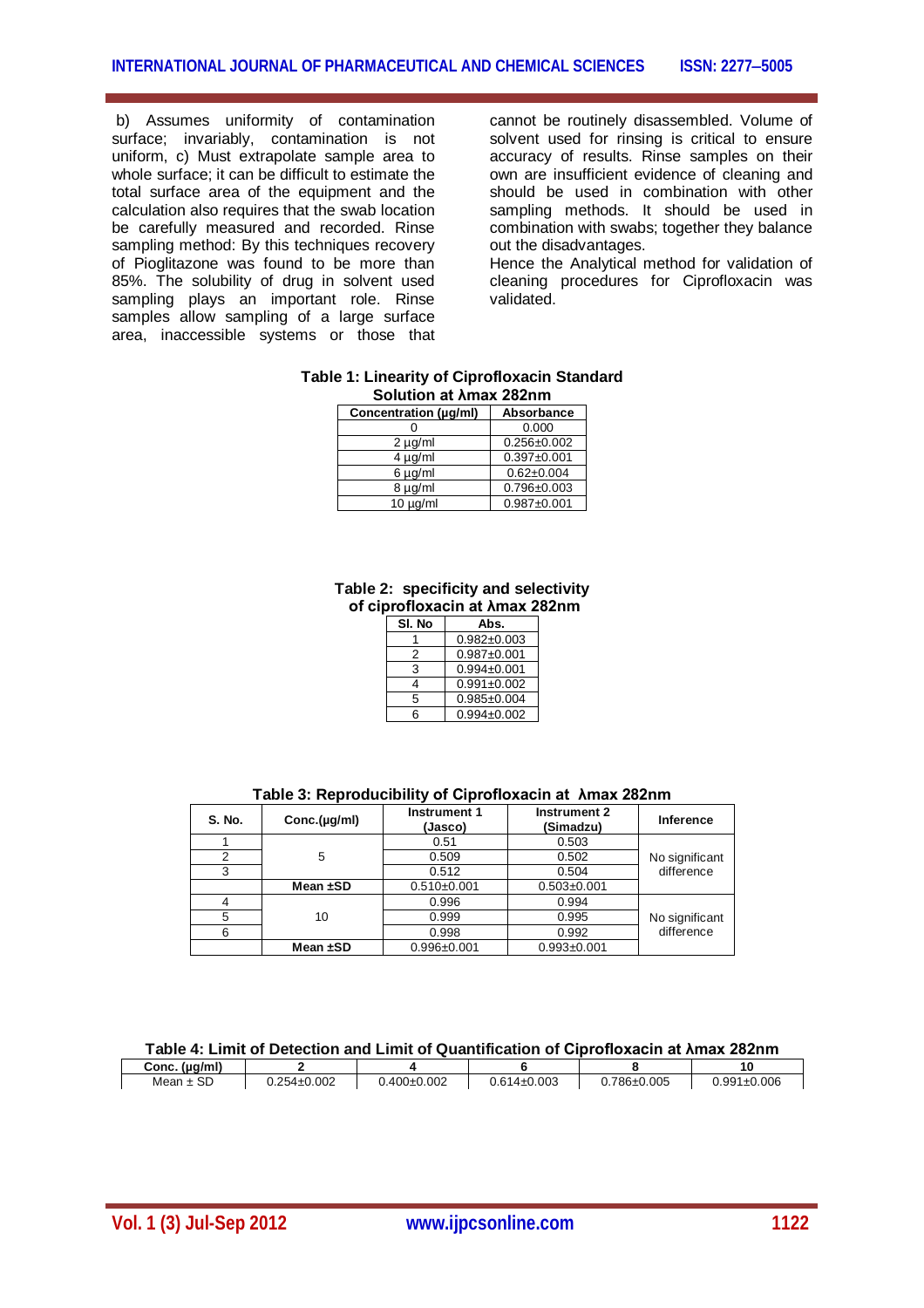b) Assumes uniformity of contamination surface; invariably, contamination is not uniform, c) Must extrapolate sample area to whole surface; it can be difficult to estimate the total surface area of the equipment and the calculation also requires that the swab location be carefully measured and recorded. Rinse sampling method: By this techniques recovery of Pioglitazone was found to be more than 85%. The solubility of drug in solvent used sampling plays an important role. Rinse samples allow sampling of a large surface area, inaccessible systems or those that

cannot be routinely disassembled. Volume of solvent used for rinsing is critical to ensure accuracy of results. Rinse samples on their own are insufficient evidence of cleaning and should be used in combination with other sampling methods. It should be used in combination with swabs; together they balance out the disadvantages.

Hence the Analytical method for validation of cleaning procedures for Ciprofloxacin was validated.

#### **Table 1: Linearity of Ciprofloxacin Standard Solution at λmax 282nm**

| Concentration (µg/ml) | <b>Absorbance</b> |
|-----------------------|-------------------|
|                       | 0.000             |
| $2 \mu g/ml$          | $0.256 \pm 0.002$ |
| $4 \mu g/ml$          | $0.397 + 0.001$   |
| $6 \mu g/ml$          | $0.62 \pm 0.004$  |
| 8 µg/ml               | $0.796 \pm 0.003$ |
| $10 \mu q/ml$         | $0.987 + 0.001$   |

#### **Table 2: specificity and selectivity of ciprofloxacin at λmax 282nm**

| SI. No | Abs.              |
|--------|-------------------|
|        | $0.982 \pm 0.003$ |
| 2      | $0.987 + 0.001$   |
| 3      | $0.994 + 0.001$   |
| 4      | $0.991 \pm 0.002$ |
| 5      | $0.985 \pm 0.004$ |
| ิค     | $0.994 \pm 0.002$ |

## **Table 3: Reproducibility of Ciprofloxacin at λmax 282nm**

| S. No. | Conc.(µq/ml)  | Instrument 1<br>(Jasco) | <b>Instrument 2</b><br>(Simadzu) | <b>Inference</b> |
|--------|---------------|-------------------------|----------------------------------|------------------|
|        |               | 0.51                    | 0.503                            |                  |
| ◠      | 5             | 0.509                   | 0.502                            | No significant   |
| 3      |               | 0.512                   | 0.504                            | difference       |
|        | Mean ±SD      | $0.510\pm0.001$         | $0.503 \pm 0.001$                |                  |
|        |               | 0.996                   | 0.994                            |                  |
| 5      | 10            | 0.999                   | 0.995                            | No significant   |
| 6      |               | 0.998                   | 0.992                            | difference       |
|        | Mean $\pm$ SD | $0.996 \pm 0.001$       | $0.993 \pm 0.001$                |                  |

#### **Table 4: Limit of Detection and Limit of Quantification of Ciprofloxacin at λmax 282nm**

| ~~                                       |      |          |              |  |
|------------------------------------------|------|----------|--------------|--|
| .002<br>Mean<br>$\overline{ }$<br>שפ<br> | .002 | 003<br>o | .005<br>.006 |  |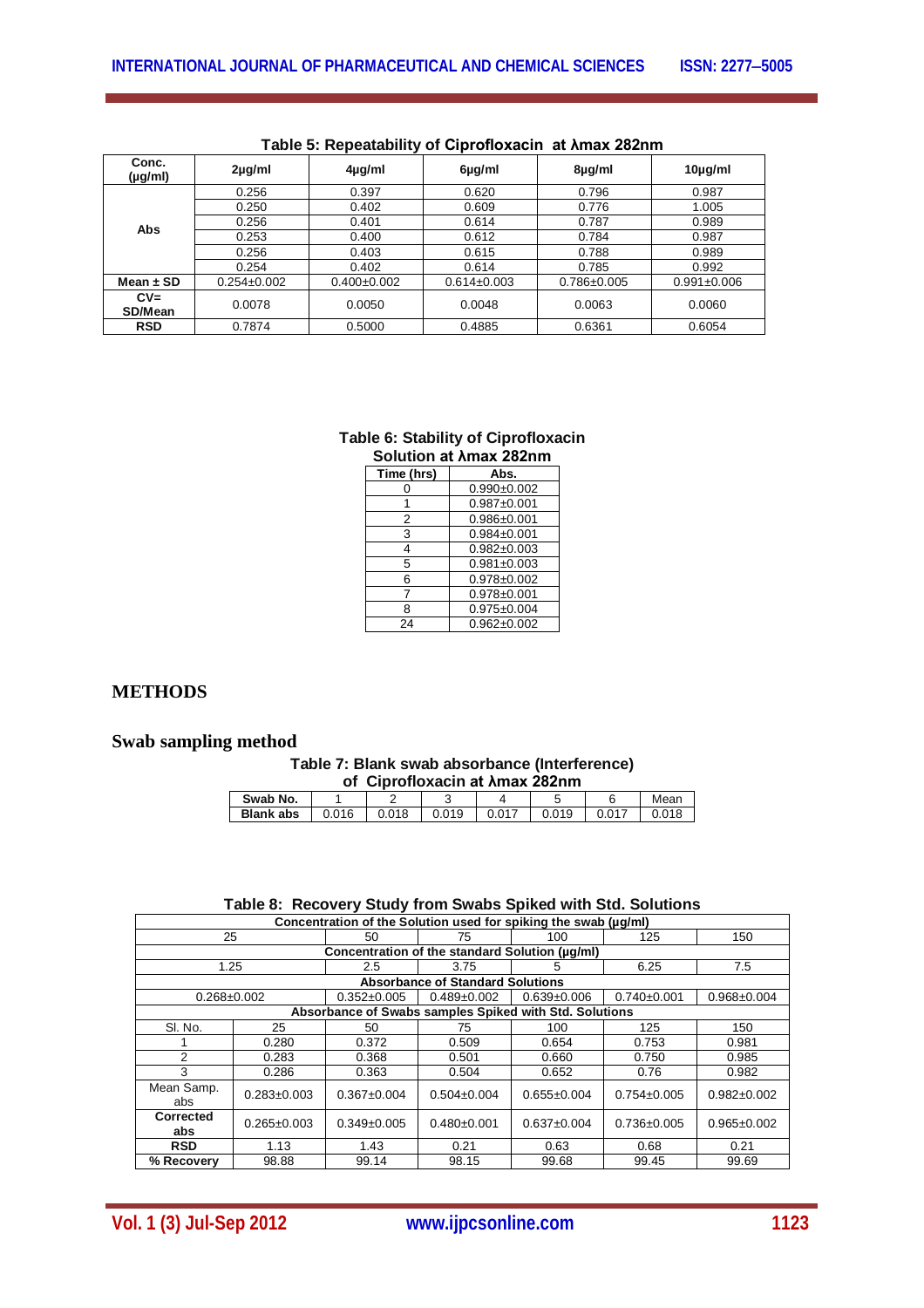| Conc.<br>(µg/ml)  | $2\mu g/ml$       | $4\mu$ g/ml       | 6µg/ml          | 8µg/ml            | $10\mu$ g/ml      |
|-------------------|-------------------|-------------------|-----------------|-------------------|-------------------|
|                   | 0.256             | 0.397             | 0.620           | 0.796             | 0.987             |
| <b>Abs</b>        | 0.250             | 0.402             | 0.609           | 0.776             | 1.005             |
|                   | 0.256             | 0.401             | 0.614           | 0.787             | 0.989             |
|                   | 0.253             | 0.400             | 0.612           | 0.784             | 0.987             |
|                   | 0.256             | 0.403             | 0.615           | 0.788             | 0.989             |
|                   | 0.254             | 0.402             | 0.614           | 0.785             | 0.992             |
| Mean $\pm$ SD     | $0.254 \pm 0.002$ | $0.400 \pm 0.002$ | $0.614\pm0.003$ | $0.786 \pm 0.005$ | $0.991 \pm 0.006$ |
| $CV =$<br>SD/Mean | 0.0078            | 0.0050            | 0.0048          | 0.0063            | 0.0060            |
| <b>RSD</b>        | 0.7874            | 0.5000            | 0.4885          | 0.6361            | 0.6054            |

#### **Table 5: Repeatability of Ciprofloxacin at λmax 282nm**

#### **Table 6: Stability of Ciprofloxacin Solution at λmax 282nm**

| OUIUUUII AL AIIIAA 404IIIII |
|-----------------------------|
| Abs.                        |
| $0.990 \pm 0.002$           |
| $0.987 + 0.001$             |
| $0.986 + 0.001$             |
| $0.984 + 0.001$             |
| $0.982 + 0.003$             |
| $0.981 \pm 0.003$           |
| $0.978 \pm 0.002$           |
| $0.978 + 0.001$             |
| $0.975 \pm 0.004$           |
| $0.962 \pm 0.002$           |
|                             |

# **METHODS**

## **Swab sampling method**

## **Table 7: Blank swab absorbance (Interference)**

| of Ciprofloxacin at Amax 282nm |       |       |       |       |       |       |       |
|--------------------------------|-------|-------|-------|-------|-------|-------|-------|
| Swab No.                       |       |       |       |       |       |       | Mean  |
| <b>Blank abs</b>               | 0.016 | 0.018 | 0.019 | 0.017 | 0.019 | 0.017 | 0.018 |

## **Table 8: Recovery Study from Swabs Spiked with Std. Solutions**

| Concentration of the Solution used for spiking the swab (µg/ml) |                                         |                   |                                                |                   |                   |                   |  |  |  |
|-----------------------------------------------------------------|-----------------------------------------|-------------------|------------------------------------------------|-------------------|-------------------|-------------------|--|--|--|
| 25                                                              |                                         | 50                | 75                                             | 100               | 125               | 150               |  |  |  |
|                                                                 |                                         |                   | Concentration of the standard Solution (µq/ml) |                   |                   |                   |  |  |  |
| 1.25                                                            |                                         | 2.5               | 3.75                                           | 5                 | 6.25              | 7.5               |  |  |  |
|                                                                 | <b>Absorbance of Standard Solutions</b> |                   |                                                |                   |                   |                   |  |  |  |
| $0.268 \pm 0.002$                                               |                                         | $0.352 \pm 0.005$ | $0.489 + 0.002$                                | $0.639 \pm 0.006$ | $0.740\pm0.001$   | $0.968 \pm 0.004$ |  |  |  |
| Absorbance of Swabs samples Spiked with Std. Solutions          |                                         |                   |                                                |                   |                   |                   |  |  |  |
| SI. No.                                                         | 25                                      | 50                | 75                                             | 100               | 125               | 150               |  |  |  |
|                                                                 | 0.280                                   | 0.372             | 0.509                                          | 0.654             | 0.753             | 0.981             |  |  |  |
| 2                                                               | 0.283                                   | 0.368             | 0.501                                          | 0.660             | 0.750             | 0.985             |  |  |  |
| 3                                                               | 0.286                                   | 0.363             | 0.504                                          | 0.652             | 0.76              | 0.982             |  |  |  |
| Mean Samp.<br>abs                                               | $0.283 \pm 0.003$                       | $0.367 \pm 0.004$ | $0.504 \pm 0.004$                              | $0.655 \pm 0.004$ | $0.754 \pm 0.005$ | $0.982 \pm 0.002$ |  |  |  |
| <b>Corrected</b><br>abs                                         | $0.265 \pm 0.003$                       | $0.349 \pm 0.005$ | $0.480 + 0.001$                                | $0.637 \pm 0.004$ | $0.736 \pm 0.005$ | $0.965 \pm 0.002$ |  |  |  |
| <b>RSD</b>                                                      | 1.13                                    | 1.43              | 0.21                                           | 0.63              | 0.68              | 0.21              |  |  |  |
| % Recovery                                                      | 98.88                                   | 99.14             | 98.15                                          | 99.68             | 99.45             | 99.69             |  |  |  |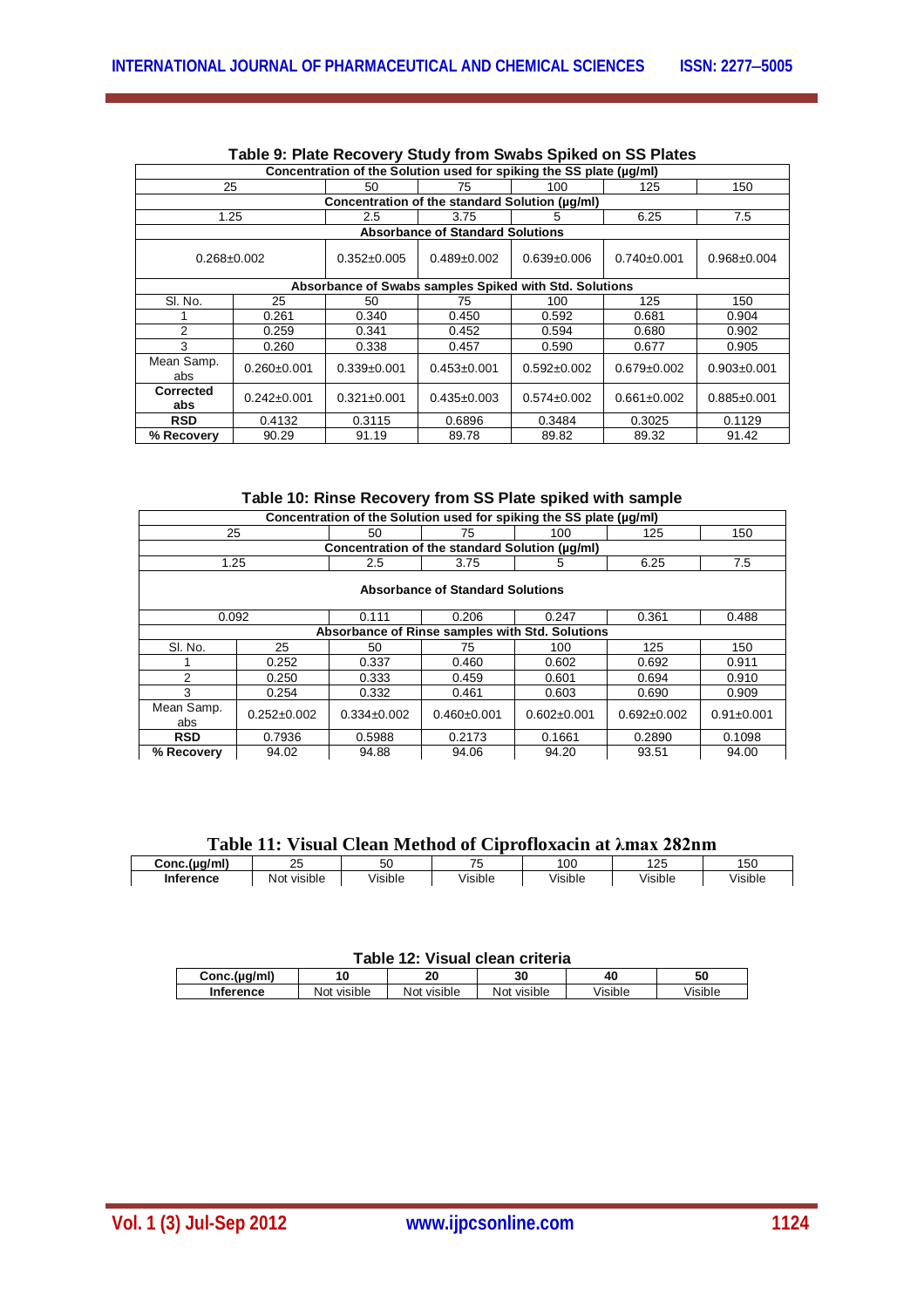|                                                        | Concentration of the Solution used for spiking the SS plate (µq/ml) |                   |                                         |                   |                   |                   |  |  |  |  |
|--------------------------------------------------------|---------------------------------------------------------------------|-------------------|-----------------------------------------|-------------------|-------------------|-------------------|--|--|--|--|
| 25                                                     |                                                                     | 50                | 75                                      | 100               | 125               | 150               |  |  |  |  |
|                                                        | Concentration of the standard Solution (ug/ml)                      |                   |                                         |                   |                   |                   |  |  |  |  |
|                                                        | 1.25                                                                | 2.5               | 3.75                                    | 5                 | 6.25              | 7.5               |  |  |  |  |
|                                                        |                                                                     |                   | <b>Absorbance of Standard Solutions</b> |                   |                   |                   |  |  |  |  |
| $0.268 \pm 0.002$                                      |                                                                     | $0.352 \pm 0.005$ | $0.489 + 0.002$                         | $0.639 + 0.006$   | $0.740\pm0.001$   | $0.968 \pm 0.004$ |  |  |  |  |
| Absorbance of Swabs samples Spiked with Std. Solutions |                                                                     |                   |                                         |                   |                   |                   |  |  |  |  |
| SI. No.                                                | 25                                                                  | 50                | 75                                      | 100               | 125               | 150               |  |  |  |  |
|                                                        | 0.261                                                               | 0.340             | 0.450                                   | 0.592             | 0.681             | 0.904             |  |  |  |  |
| 2                                                      | 0.259                                                               | 0.341             | 0.452                                   | 0.594             | 0.680             | 0.902             |  |  |  |  |
| 3                                                      | 0.260                                                               | 0.338             | 0.457                                   | 0.590             | 0.677             | 0.905             |  |  |  |  |
| Mean Samp.<br>abs                                      | $0.260 \pm 0.001$                                                   | $0.339+0.001$     | $0.453 \pm 0.001$                       | $0.592 \pm 0.002$ | $0.679 \pm 0.002$ | $0.903 \pm 0.001$ |  |  |  |  |
| <b>Corrected</b><br>abs                                | $0.242 \pm 0.001$                                                   | $0.321 \pm 0.001$ | $0.435 \pm 0.003$                       | $0.574 \pm 0.002$ | $0.661 \pm 0.002$ | $0.885 \pm 0.001$ |  |  |  |  |
| <b>RSD</b>                                             | 0.4132                                                              | 0.3115            | 0.6896                                  | 0.3484            | 0.3025            | 0.1129            |  |  |  |  |
| % Recovery                                             | 90.29                                                               | 91.19             | 89.78                                   | 89.82             | 89.32             | 91.42             |  |  |  |  |

## **Table 9: Plate Recovery Study from Swabs Spiked on SS Plates**

**Table 10: Rinse Recovery from SS Plate spiked with sample**

| Concentration of the Solution used for spiking the SS plate (µq/ml) |                                                |                 |               |                   |                   |                  |  |  |  |
|---------------------------------------------------------------------|------------------------------------------------|-----------------|---------------|-------------------|-------------------|------------------|--|--|--|
| 25                                                                  |                                                | 50              | 75            | 100               | 125               | 150              |  |  |  |
|                                                                     | Concentration of the standard Solution (µq/ml) |                 |               |                   |                   |                  |  |  |  |
| 1.25                                                                |                                                | $2.5\,$         | 3.75          | 5                 | 6.25              | 7.5              |  |  |  |
| <b>Absorbance of Standard Solutions</b>                             |                                                |                 |               |                   |                   |                  |  |  |  |
| 0.092                                                               |                                                | 0.111           | 0.206         | 0.247             | 0.361             | 0.488            |  |  |  |
| Absorbance of Rinse samples with Std. Solutions                     |                                                |                 |               |                   |                   |                  |  |  |  |
| SI. No.                                                             | 25                                             | 50              | 75            | 100               | 125               | 150              |  |  |  |
|                                                                     | 0.252                                          | 0.337           | 0.460         | 0.602             | 0.692             | 0.911            |  |  |  |
| 2                                                                   | 0.250                                          | 0.333           | 0.459         | 0.601             | 0.694             | 0.910            |  |  |  |
| 3                                                                   | 0.254                                          | 0.332           | 0.461         | 0.603             | 0.690             | 0.909            |  |  |  |
| Mean Samp.<br>abs                                                   | $0.252 \pm 0.002$                              | $0.334\pm0.002$ | $0.460+0.001$ | $0.602 \pm 0.001$ | $0.692 \pm 0.002$ | $0.91 \pm 0.001$ |  |  |  |
| <b>RSD</b>                                                          | 0.7936                                         | 0.5988          | 0.2173        | 0.1661            | 0.2890            | 0.1098           |  |  |  |
| % Recovery                                                          | 94.02                                          | 94.88           | 94.06         | 94.20             | 93.51             | 94.00            |  |  |  |

|  |  |  |  | Table 11: Visual Clean Method of Ciprofloxacin at λmax 282nm |
|--|--|--|--|--------------------------------------------------------------|
|--|--|--|--|--------------------------------------------------------------|

| .onr<br>,,,,,,,,<br>ш | $\Gamma$<br>້                    | - -<br>ას                       | $ -$                    | '00                     | $\sim$<br>ں ے                   | 50                         |  |  |
|-----------------------|----------------------------------|---------------------------------|-------------------------|-------------------------|---------------------------------|----------------------------|--|--|
| Inforance             | .<br>visible<br>n'<br>N<br>1 U L | $\cdots$<br>$\cdots$<br>/isible | <br>$\cdots$<br>'isible | <br>$\cdots$<br>/isible | $\cdots$<br>$\cdots$<br>Visible | $\cdots$<br>.<br>`′isible. |  |  |
|                       |                                  |                                 |                         |                         |                                 |                            |  |  |

#### **Table 12: Visual clean criteria**

| I WN IV IZI I IVWMI VIVMII VIIIVIIM |                 |                 |             |         |         |  |  |  |  |
|-------------------------------------|-----------------|-----------------|-------------|---------|---------|--|--|--|--|
| Conc.(ua/ml)                        | u               | nr              | 30          | 40      | 50      |  |  |  |  |
| Inference                           | visible<br>Not. | visible<br>Not. | Not visible | 'isible | /isible |  |  |  |  |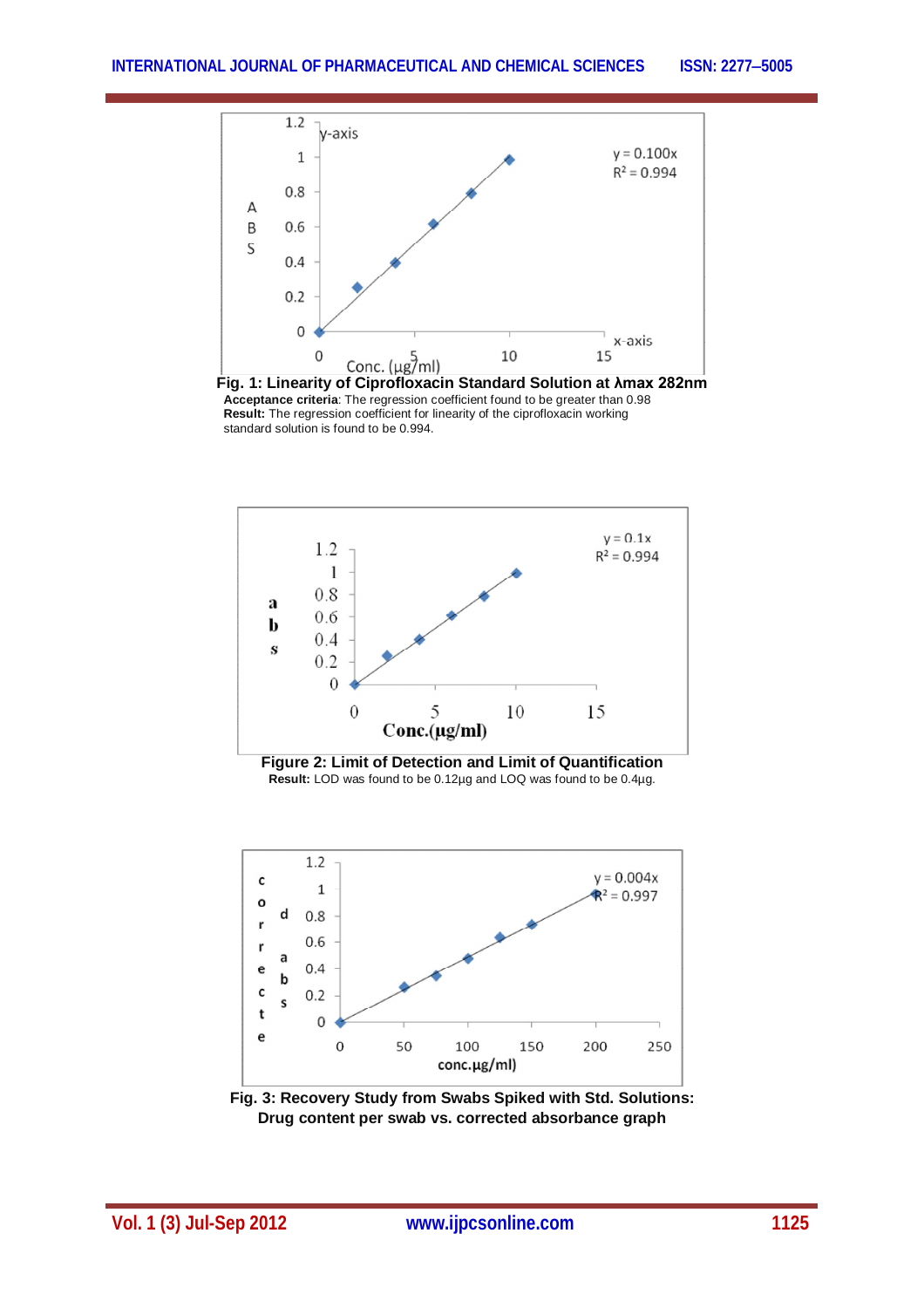

**Acceptance criteria**: The regression coefficient found to be greater than 0.98 **Result:** The regression coefficient for linearity of the ciprofloxacin working standard solution is found to be 0.994.



**Figure 2: Limit of Detection and Limit of Quantification Result:** LOD was found to be 0.12µg and LOQ was found to be 0.4µg.



**Fig. 3: Recovery Study from Swabs Spiked with Std. Solutions: Drug content per swab vs. corrected absorbance graph**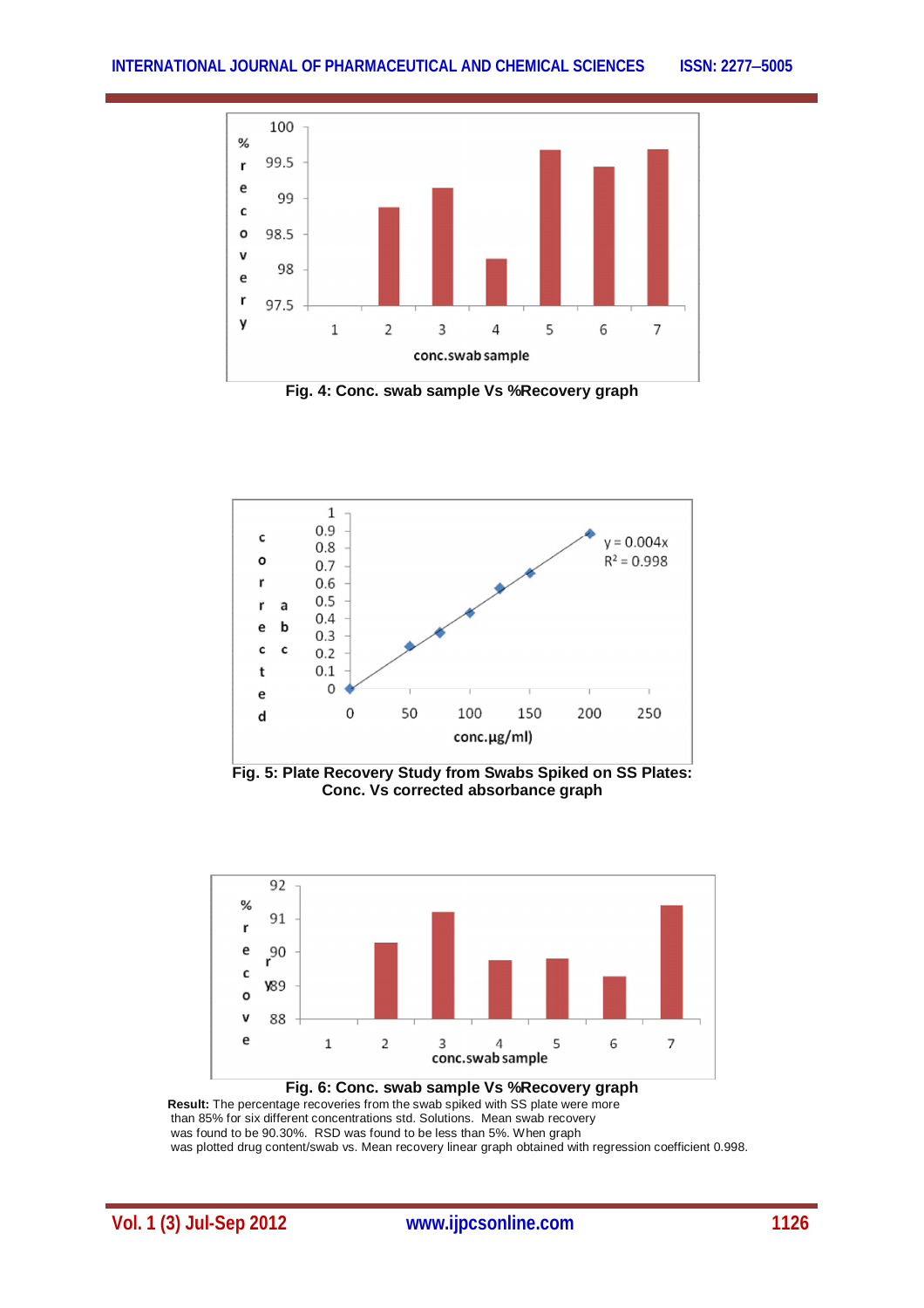

**Fig. 4: Conc. swab sample Vs %Recovery graph**



**Fig. 5: Plate Recovery Study from Swabs Spiked on SS Plates: Conc. Vs corrected absorbance graph**



#### **Fig. 6: Conc. swab sample Vs %Recovery graph Result:** The percentage recoveries from the swab spiked with SS plate were more than 85% for six different concentrations std. Solutions. Mean swab recovery was found to be 90.30%. RSD was found to be less than 5%. When graph was plotted drug content/swab vs. Mean recovery linear graph obtained with regression coefficient 0.998.